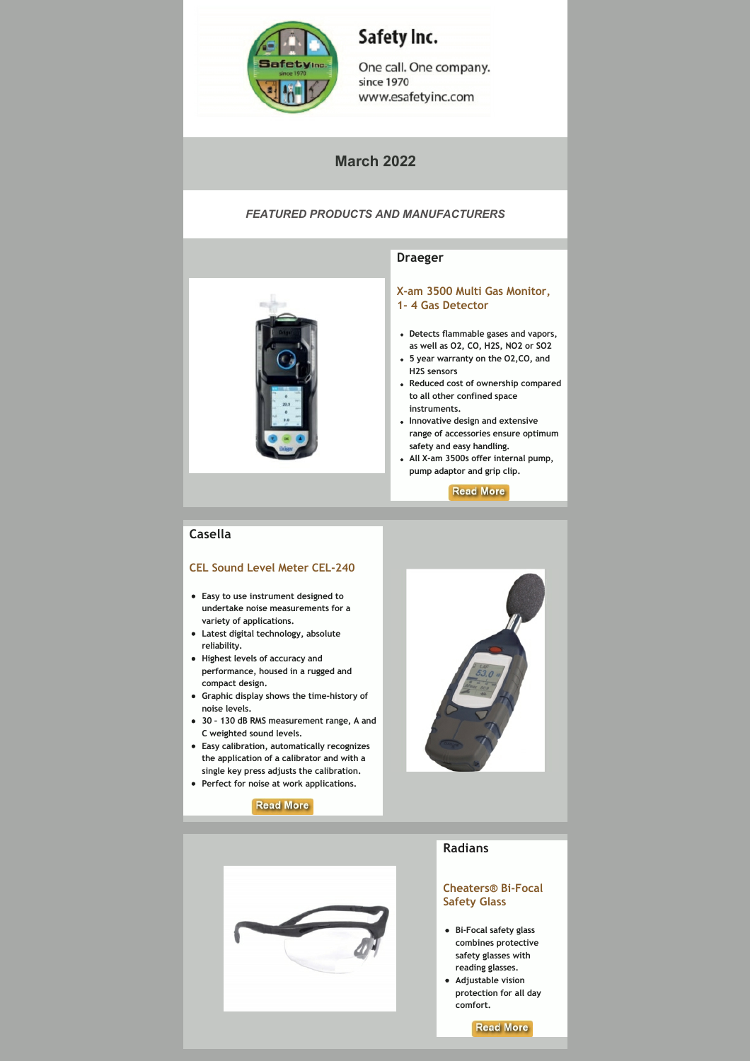

# Safety Inc.

One call. One company. since 1970 www.esafetyinc.com

# **March 2022**

## *FEATURED PRODUCTS AND MANUFACTURERS*



#### **Draeger**

**[X‐am 3500 Multi Gas](https://www.esafetyinc.com/draeger-x-am-multi-gas-monitor/) Monitor, 1‐ 4 Gas Detector**

- **Detects flammable gases and vapors, as well as O2, CO, H2S, NO2 or SO2**
- **5 year warranty on the O2,CO, and H2S sensors**
- **Reduced cost of ownership compared to all other confined space instruments.**
- **Innovative design and extensive range of accessories ensure optimum safety and easy handling.**
- **All X‐am 3500s offer internal pump, pump adaptor and grip clip.**

**Read More** 

## **Casella**

#### **CEL Sound Level Meter CEL‐240**

- **Easy to use instrument designed to undertake noise measurements for a variety of applications.**
- **Latest digital technology, absolute reliability.**
- **Highest levels of accuracy and performance, housed in a rugged and compact design.**
- **Graphic display shows the time‐history of noise levels.**
- **30 130 dB RMS measurement range, A and C weighted sound levels.**
- **Easy calibration, automatically recognizes the application of a calibrator and with a single key press adjusts the calibration.**
- **Perfect for noise at work applications.**







# **Radians**

#### **[Cheaters® Bi‐Focal](https://www.esafetyinc.com/product/radians-cheaters-bi-focal-glasses-13/) Safety Glass**

- **Bi‐Focal safety glass combines protective safety glasses with reading glasses.**
- **Adjustable vision protection for all day comfort.**

**Read More**